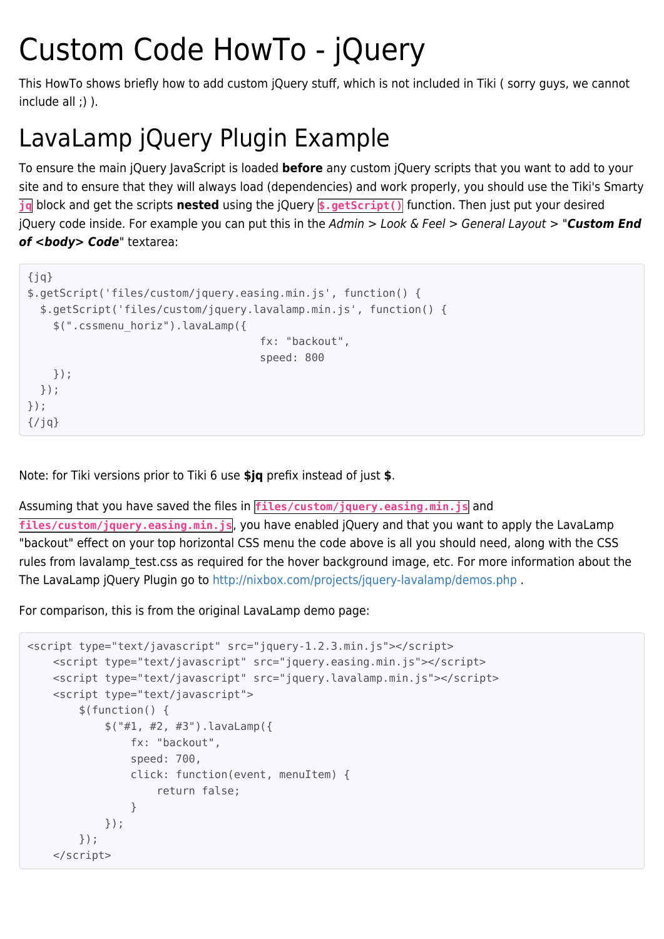## Custom Code HowTo - jQuery

This HowTo shows briefly how to add custom jQuery stuff, which is not included in Tiki ( sorry guys, we cannot include all ;) ).

## LavaLamp jQuery Plugin Example

To ensure the main jQuery JavaScript is loaded **before** any custom jQuery scripts that you want to add to your site and to ensure that they will always load (dependencies) and work properly, you should use the Tiki's Smarty **jq** block and get the scripts **nested** using the jQuery **\$.getScript()** function. Then just put your desired jQuery code inside. For example you can put this in the Admin > Look & Feel > General Layout > "*Custom End* of <br /> **code**" textarea:

```
{jq}$.getScript('files/custom/jquery.easing.min.js', function() {
   $.getScript('files/custom/jquery.lavalamp.min.js', function() {
     $(".cssmenu_horiz").lavaLamp({
                                       fx: "backout",
                                       speed: 800
    });
  });
});
\{/jq\}
```
Note: for Tiki versions prior to Tiki 6 use **\$jq** prefix instead of just **\$**.

Assuming that you have saved the files in **files/custom/jquery.easing.min.js** and

**files/custom/jquery.easing.min.js**, you have enabled jQuery and that you want to apply the LavaLamp "backout" effect on your top horizontal CSS menu the code above is all you should need, along with the CSS rules from lavalamp test.css as required for the hover background image, etc. For more information about the The LavaLamp jQuery Plugin go to <http://nixbox.com/projects/jquery-lavalamp/demos.php>.

For comparison, this is from the original LavaLamp demo page:

```
<script type="text/javascript" src="jquery-1.2.3.min.js"></script>
    <script type="text/javascript" src="jquery.easing.min.js"></script>
     <script type="text/javascript" src="jquery.lavalamp.min.js"></script>
     <script type="text/javascript">
         $(function() {
             $("#1, #2, #3").lavaLamp({
                 fx: "backout",
                 speed: 700,
                 click: function(event, menuItem) {
                     return false;
 }
             });
         });
     </script>
```